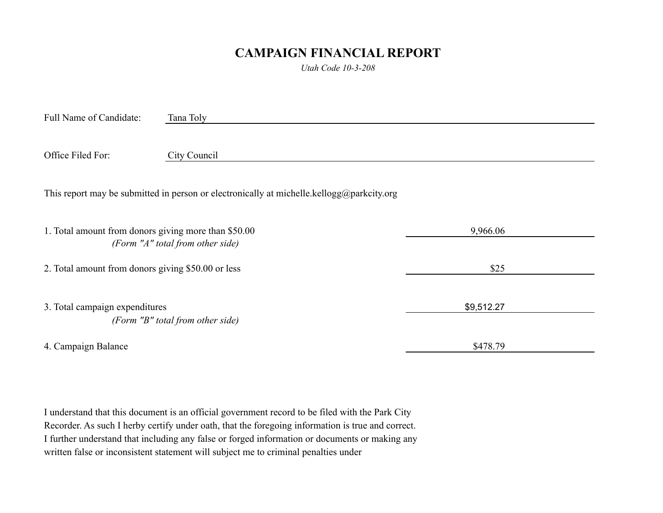## **CAMPAIGN FINANCIAL REPORT**

*Utah Code 10-3-208*

| Full Name of Candidate:                                                                      | Tana Toly    |            |  |  |
|----------------------------------------------------------------------------------------------|--------------|------------|--|--|
|                                                                                              |              |            |  |  |
| Office Filed For:                                                                            | City Council |            |  |  |
| This report may be submitted in person or electronically at michelle.kellogg@parkcity.org    |              |            |  |  |
| 1. Total amount from donors giving more than \$50.00<br>(Form $''A''$ total from other side) |              | 9,966.06   |  |  |
| 2. Total amount from donors giving \$50.00 or less                                           |              | \$25       |  |  |
| 3. Total campaign expenditures<br>(Form "B" total from other side)                           |              | \$9,512.27 |  |  |
| 4. Campaign Balance                                                                          |              | \$478.79   |  |  |

I understand that this document is an official government record to be filed with the Park City Recorder. As such I herby certify under oath, that the foregoing information is true and correct. I further understand that including any false or forged information or documents or making any written false or inconsistent statement will subject me to criminal penalties under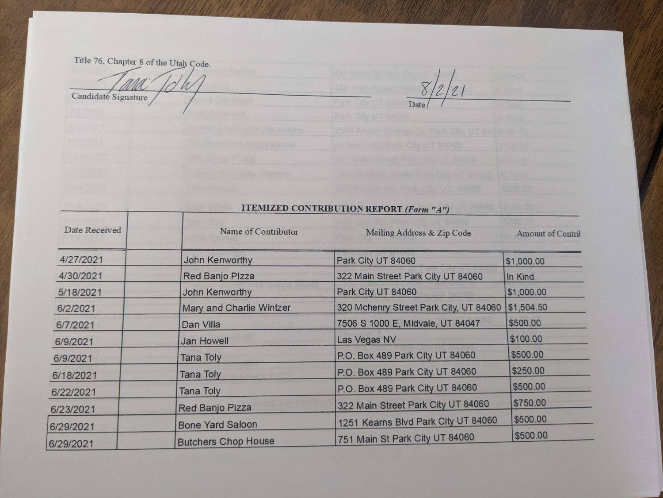Title 76, Chapter 8 of the Utah Code.

И Candidate Signature

**ITEMIZED CONTRIBUTION REPORT (Form "A")** 

 $\frac{8}{2/2}$ 

...

| Date Received          | Name of Contributor        | Mailing Address & Zip Code             | <b>Amount of Contril</b> |
|------------------------|----------------------------|----------------------------------------|--------------------------|
| 4/27/2021              | John Kenworthy             | Park City UT 84060                     | \$1,000.00               |
| 4/30/2021              | Red Banjo Plzza            | 322 Main Street Park City UT 84060     | In Kind                  |
| 5/18/2021              | John Kenworthy             | Park City UT 84060                     | \$1,000.00               |
| 6/2/2021               | Mary and Charlie Wintzer   | 320 Mchenry Street Park City, UT 84060 | \$1,504.50               |
| 6/7/2021               | Dan Villa                  | 7506 S 1000 E, Midvale, UT 84047       | \$500.00                 |
| 6/9/2021               | <b>Jan Howell</b>          | Las Vegas NV                           | \$100.00                 |
| 6/9/2021               | Tana Toly                  | P.O. Box 489 Park City UT 84060        | \$500.00                 |
| 6/18/2021              | <b>Tana Toly</b>           | P.O. Box 489 Park City UT 84060        | \$250.00                 |
| 6/22/2021              | <b>Tana Toly</b>           | P.O. Box 489 Park City UT 84060        | \$500.00                 |
| 6/23/2021              | Red Banjo Pizza            | 322 Main Street Park City UT 84060     | \$750.00                 |
|                        | <b>Bone Yard Saloon</b>    | 1251 Kearns Blvd Park City UT 84060    | \$500.00                 |
| 6/29/2021<br>6/29/2021 | <b>Butchers Chop House</b> | 751 Main St Park City UT 84060         | \$500.00                 |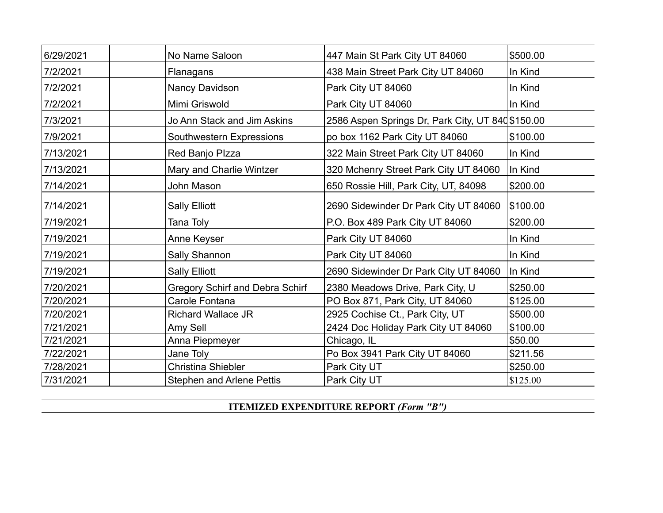| 6/29/2021 | No Name Saloon                         | 447 Main St Park City UT 84060                   | \$500.00 |
|-----------|----------------------------------------|--------------------------------------------------|----------|
| 7/2/2021  | Flanagans                              | 438 Main Street Park City UT 84060               | In Kind  |
| 7/2/2021  | Nancy Davidson                         | Park City UT 84060                               | In Kind  |
| 7/2/2021  | Mimi Griswold                          | Park City UT 84060                               | In Kind  |
| 7/3/2021  | Jo Ann Stack and Jim Askins            | 2586 Aspen Springs Dr, Park City, UT 840\$150.00 |          |
| 7/9/2021  | Southwestern Expressions               | po box 1162 Park City UT 84060                   | \$100.00 |
| 7/13/2021 | Red Banjo Plzza                        | 322 Main Street Park City UT 84060               | In Kind  |
| 7/13/2021 | Mary and Charlie Wintzer               | 320 Mchenry Street Park City UT 84060            | In Kind  |
| 7/14/2021 | John Mason                             | 650 Rossie Hill, Park City, UT, 84098            | \$200.00 |
| 7/14/2021 | <b>Sally Elliott</b>                   | 2690 Sidewinder Dr Park City UT 84060            | \$100.00 |
| 7/19/2021 | Tana Toly                              | P.O. Box 489 Park City UT 84060                  | \$200.00 |
| 7/19/2021 | Anne Keyser                            | Park City UT 84060                               | In Kind  |
| 7/19/2021 | Sally Shannon                          | Park City UT 84060                               | In Kind  |
| 7/19/2021 | <b>Sally Elliott</b>                   | 2690 Sidewinder Dr Park City UT 84060            | In Kind  |
| 7/20/2021 | <b>Gregory Schirf and Debra Schirf</b> | 2380 Meadows Drive, Park City, U                 | \$250.00 |
| 7/20/2021 | Carole Fontana                         | PO Box 871, Park City, UT 84060                  | \$125.00 |
| 7/20/2021 | <b>Richard Wallace JR</b>              | 2925 Cochise Ct., Park City, UT                  | \$500.00 |
| 7/21/2021 | Amy Sell                               | 2424 Doc Holiday Park City UT 84060              | \$100.00 |
| 7/21/2021 | Anna Piepmeyer                         | Chicago, IL                                      | \$50.00  |
| 7/22/2021 | Jane Toly                              | Po Box 3941 Park City UT 84060                   | \$211.56 |
| 7/28/2021 | <b>Christina Shiebler</b>              | Park City UT                                     | \$250.00 |
| 7/31/2021 | <b>Stephen and Arlene Pettis</b>       | Park City UT                                     | \$125.00 |

**ITEMIZED EXPENDITURE REPORT** *(Form "B")*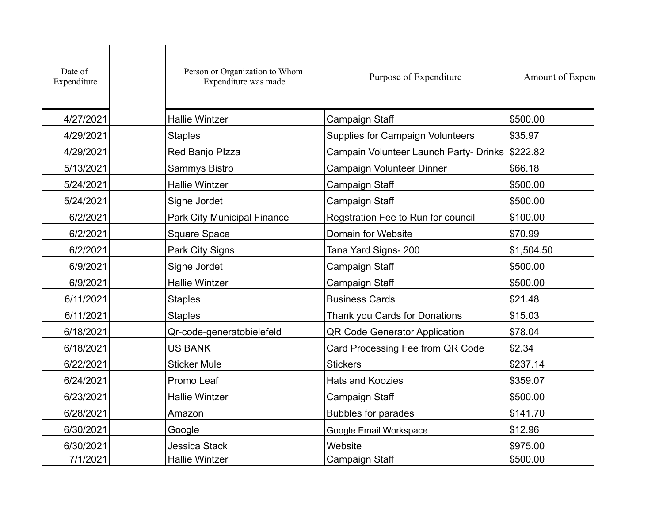| Date of<br>Expenditure | Person or Organization to Whom<br>Expenditure was made | Purpose of Expenditure                          | Amount of Expen |
|------------------------|--------------------------------------------------------|-------------------------------------------------|-----------------|
| 4/27/2021              | <b>Hallie Wintzer</b>                                  | Campaign Staff                                  | \$500.00        |
| 4/29/2021              | <b>Staples</b>                                         | <b>Supplies for Campaign Volunteers</b>         | \$35.97         |
| 4/29/2021              | Red Banjo Plzza                                        | Campain Volunteer Launch Party- Drinks \$222.82 |                 |
| 5/13/2021              | Sammys Bistro                                          | Campaign Volunteer Dinner                       | \$66.18         |
| 5/24/2021              | <b>Hallie Wintzer</b>                                  | Campaign Staff                                  | \$500.00        |
| 5/24/2021              | Signe Jordet                                           | Campaign Staff                                  | \$500.00        |
| 6/2/2021               | Park City Municipal Finance                            | Regstration Fee to Run for council              | \$100.00        |
| 6/2/2021               | <b>Square Space</b>                                    | Domain for Website                              | \$70.99         |
| 6/2/2021               | Park City Signs                                        | Tana Yard Signs- 200                            | \$1,504.50      |
| 6/9/2021               | Signe Jordet                                           | Campaign Staff                                  | \$500.00        |
| 6/9/2021               | <b>Hallie Wintzer</b>                                  | Campaign Staff                                  | \$500.00        |
| 6/11/2021              | <b>Staples</b>                                         | <b>Business Cards</b>                           | \$21.48         |
| 6/11/2021              | <b>Staples</b>                                         | Thank you Cards for Donations                   | \$15.03         |
| 6/18/2021              | Qr-code-generatobielefeld                              | QR Code Generator Application                   | \$78.04         |
| 6/18/2021              | <b>US BANK</b>                                         | Card Processing Fee from QR Code                | \$2.34          |
| 6/22/2021              | <b>Sticker Mule</b>                                    | <b>Stickers</b>                                 | \$237.14        |
| 6/24/2021              | Promo Leaf                                             | <b>Hats and Koozies</b>                         | \$359.07        |
| 6/23/2021              | <b>Hallie Wintzer</b>                                  | Campaign Staff                                  | \$500.00        |
| 6/28/2021              | Amazon                                                 | <b>Bubbles for parades</b>                      | \$141.70        |
| 6/30/2021              | Google                                                 | Google Email Workspace                          | \$12.96         |
| 6/30/2021              | <b>Jessica Stack</b>                                   | Website                                         | \$975.00        |
| 7/1/2021               | <b>Hallie Wintzer</b>                                  | <b>Campaign Staff</b>                           | \$500.00        |